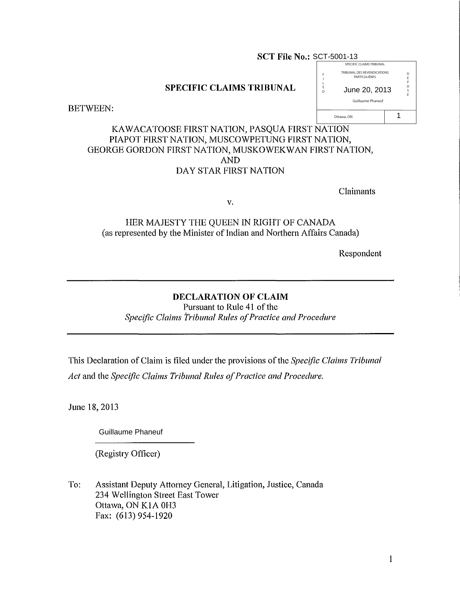#### **SCT File No.:** SCT-5001-13 SPECIFIC CLAIMS TRIBUNAL

I L E D

Ottawa, ON

# **SPECIFIC CLAIMS TRIBUNAL**

BETWEEN:

# KAWACATOOSE FIRST NATION, PASQUA FIRST NATION PIAPOT FIRST NATION, MUSCOWPETUNG FIRST NATION, GEORGE GORDON FIRST NATION, MUSKOWEKWAN FIRST NATION, AND DAY STAR FIRST NATION

Claimants

TRIBUNAL DES REVENDICATIONS **PARTICULIÈRES** 

Guillaume Phaneuf

June 20, 2013

D É P O S É

1

v.

HER MAJESTY THE QUEEN IN RIGHT OF CANADA (as represented by the Minister of Indian and Northern Affairs Canada)

Respondent

# **DECLARATION OF CLAIM**

Pursuant to Rule 41 of the *Specific Claims Tribunal Rules 0/Practice and Procedure*

This Declaration ofClaim is filed under the provisions ofthe *Specific Claims Tribunal Act* and the *Specific Claims Tribunal Rules 0/Practice and Procedure.*

June 18,2013

Guillaume Phaneuf

(Registry Officer)

To: Assistant Deputy Attorney General, Litigation, Justice, Canada 234 Wellington Street East Tower Ottawa, ON K1A 0H3 Fax: (613) 954-1920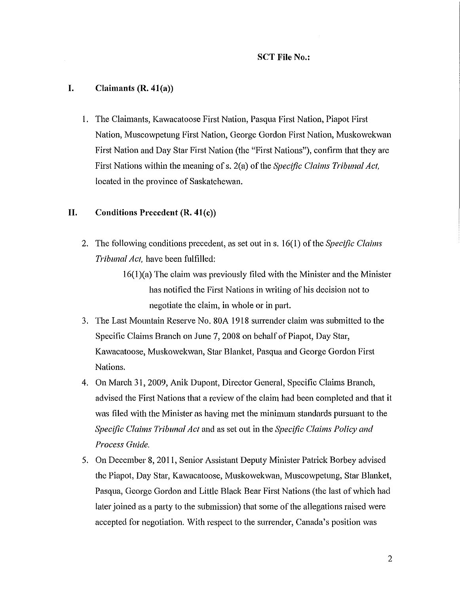# I. Claimants  $(R. 41(a))$

I. The Claimants, Kawacatoose First Nation, Pasqua First Nation, Piapot First Nation, Muscowpetung First Nation, George Gordon First Nation, Muskowekwan First Nation and Day Star First Nation (the "First Nations"), confirm that they are First Nations within the meaning ofs. 2(a) of the *Specific Claims Tribunal Act,* located in the province of Saskatchewan.

# II. Conditions Precedent  $(R. 41(c))$

2. The following conditions precedent, as set out in s. 16(1) ofthe *Specific Claims Tribunal Act,* have been fulfilled:

> 16(1)(a) The claim was previously filed with the Minister and the Minister has notified the First Nations in writing of his decision not to negotiate the claim, in whole or in part.

- 3. The Last Mountain Reserve No. 80A 1918 surrender claim was submitted to the Specific Claims Branch on June 7, 2008 on behalf of Piapot, Day Star, Kawacatoose, Muskowekwan, Star Blanket, Pasqua and George Gordon First Nations.
- 4. On March 31,2009, Anik Dupont, Director General, Specific Claims Branch, advised the First Nations that a review of the claim had been completed and that it was filed with the Minister as having met the minimum standards pursuant to the *Specific Claims Tribunal Act* and as set out in the *Specific Claims Policy and Process Guide.*
- 5. On December 8, 2011, Senior Assistant Deputy Minister Patrick Borbey advised the Piapot, Day Star, Kawacatoose, Muskowekwan, Muscowpetung, Star Blanket, Pasqua, George Gordon and Little Black Bear First Nations (the last of which had later joined as a party to the submission) that some of the allegations raised were accepted for negotiation. With respect to the surrender, Canada's position was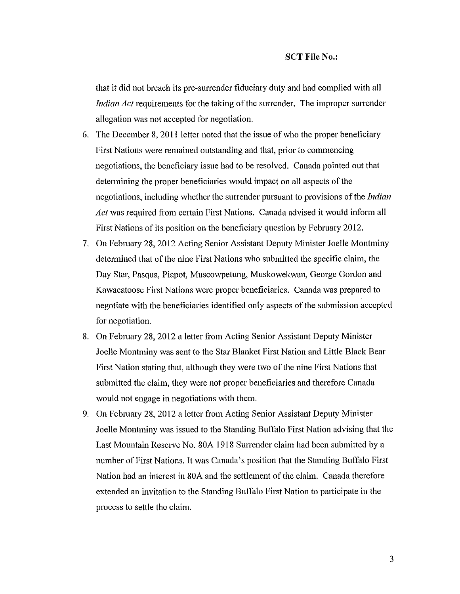that it did not breach its pre-surrender fiduciary duty and had complied with all *Indian Act* requirements for the taking of the surrender. The improper surrender allegation was not accepted for negotiation.

- 6. The December 8, 2011 letter noted that the issue of who the proper beneficiary First Nations were remained outstanding and that, prior to commencing negotiations, the beneficiary issue had to be resolved. Canada pointed out that determining the proper beneficiaries would impact on all aspects of the negotiations, including whether the surrender pursuant to provisions of the *Indian Act* was required from certain First Nations. Canada advised it would inform all First Nations of its position on the beneficiary question by February 2012.
- 7. On February 28, 2012 Acting Senior Assistant Deputy Minister Joelle Montminy determined that of the nine First Nations who submitted the specific claim, the Day Star, Pasqua, Piapot, Muscowpetung, Muskowekwan, George Gordon and Kawacatoose First Nations were proper beneficiaries. Canada was prepared to negotiate with the beneficiaries identified only aspects of the submission accepted for negotiation.
- 8. On February 28, 2012 a letter from Acting Senior Assistant Deputy Minister Joelle Montminy was sent to the Star Blanket First Nation and Little Black Bear First Nation stating that, although they were two of the nine First Nations that submitted the claim, they were not proper beneficiaries and therefore Canada would not engage in negotiations with them.
- 9. On February 28, 2012 a letter from Acting Senior Assistant Deputy Minister Joelle Montminy was issued to the Standing Buffalo First Nation advising that the Last Mountain Reserve No. 80A 1918 Surrender claim had been submitted by a number ofFirst Nations. It was Canada's position that the Standing Buffalo First Nation had an interest in 80A and the settlement of the claim. Canada therefore extended an invitation to the Standing Buffalo First Nation to participate in the process to settle the claim.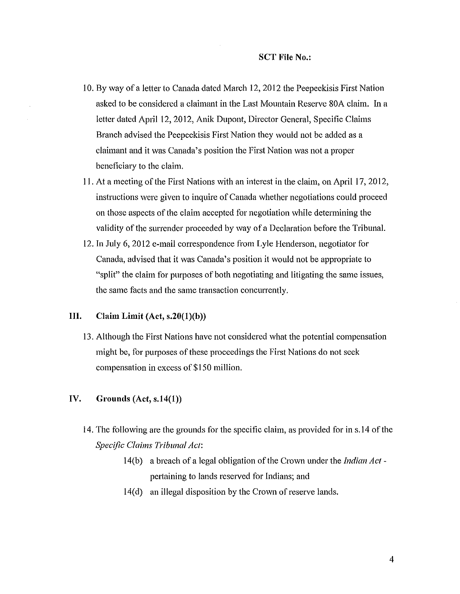- 10. By way of a letter to Canada dated March 12, 2012 the Peepeekisis First Nation asked to be considered a claimant in the Last Mountain Reserve 80A claim. In a letter dated April 12, 2012, Anik Dupont, Director General, Specific Claims Branch advised the Peepeekisis First Nation they would not be added as a claimant and it was Canada's position the First Nation was not a proper beneficiary to the claim.
- 11. At a meeting of the First Nations with an interest in the claim, on April 17, 2012, instructions were given to inquire of Canada whether negotiations could proceed on those aspects of the claim accepted for negotiation while determining the validity of the surrender proceeded by way of a Declaration before the Tribunal.
- 12. In July 6, 2012 e-mail correspondence from Lyle Henderson, negotiator for Canada, advised that it was Canada's position it would not be appropriate to "split" the claim for purposes of both negotiating and litigating the same issues, the same facts and the same transaction concurrently.

# **III.** Claim Limit  $(Act, s.20(1)(b))$

13. Although the First Nations have not considered what the potential compensation might be, for purposes of these proceedings the First Nations do not seek compensation in excess of \$150 million.

### **IV. Grounds** (Act, s.14(1))

- 14. The following are the grounds for the specific claim, as provided for in s.14 of the *Specific Claims Tribunal Act:*
	- 14(b) a breach of a legal obligation ofthe Crown under the *Indian Act*  pertaining to lands reserved for Indians; and
	- 14(d) an illegal disposition by the Crown of reserve lands.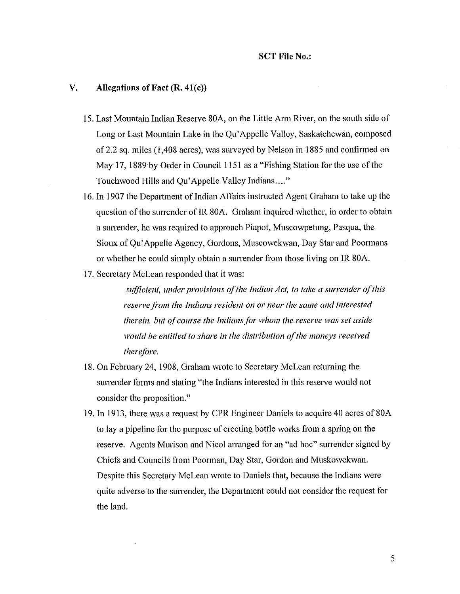#### V. Allegations of Fact  $(R, 41(e))$

- IS. Last Mountain Indian Reserve 80A, on the Little Arm River, on the south side of Long or Last Mountain Lake in the Qu'Appelle Valley, Saskatchewan, composed of2.2 sq. miles (1,408 acres), was surveyed by Nelson in 1885 and confirmed on May 17, 1889 by Order in Council 1151 as a "Fishing Station for the use of the Touchwood Hills and Qu'Appelle Valley Indians...."
- 16. In 1907 the Department of Indian Affairs instructed Agent Graham to take up the question of the surrender of IR 80A. Graham inquired whether, in order to obtain a surrender, he was required to approach Piapot, Muscowpetung, Pasqua, the Sioux of Qu'Appelle Agency, Gordons, Muscowekwan, Day Star and Poormans or whether he could simply obtain a surrender from those living on IR 80A.
- 17. Secretary McLean responded that it was:

*sufficient, under provisions of the Indian Act, to take a surrender of this reserve ji'om the Indians resident on or near the same and interested therein, but ofcourse the Indiansfor whom the reserve was set aside would be entitled to share in the distribution ofthe moneys received therefore.*

- 18. On February 24, 1908, Graham wrote to Secretary McLean returning the surrender forms and stating "the Indians interested in this reserve would not consider the proposition."
- 19. In 1913, there was a request by CPR Engineer Daniels to acquire 40 acres of 80A to lay a pipeline for the purpose of erecting bottle works from a spring on the reserve. Agents Murison and Nicol arranged for an "ad hoc" surrender signed by Chiefs and Councils from Poorman, Day Star, Gordon and Muskowekwan. Despite this Secretary McLean wrote to Daniels that, because the Indians were quite adverse to the surrender, the Department could not consider the request for the land.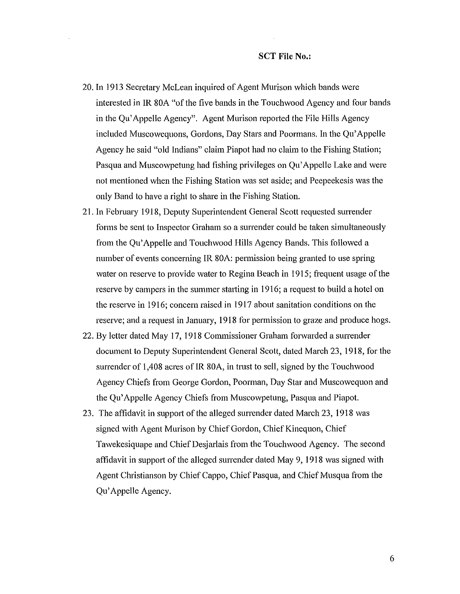- 20. In 1913 Secretary McLean inquired of Agent Murison which bands were interested in IR 80A "of the five bands in the Touchwood Agency and four bands in the Qu'Appelle Agency". Agent Murison reported the File Hills Agency included Muscowequons, Gordons, Day Stars and Poormans. In the Qu'Appelle Agency he said "old Indians" claim Piapot had no claim to the Fishing Station; Pasqua and Muscowpetung had fishing privileges on Qu'Appelle Lake and were not mentioned when the Fishing Station was set aside; and Peepeekesis was the only Band to have a right to share in the Fishing Station.
- 21. In February 1918, Deputy Superintendent General Scott requested surrender forms be sent to Inspector Graham so a surrender could be taken simultaneously from the Qu'Appelle and Touchwood Hills Agency Bands. This followed a number of events concerning IR 80A: permission being granted to use spring water on reserve to provide water to Regina Beach in 1915; frequent usage of the reserve by campers in the summer starting in 1916; a request to build a hotel on the reserve in 1916; concern raised in 1917 about sanitation conditions on the reserve; and a request in January, 1918 for permission to graze and produce hogs.
- 22. By letter dated May 17, 1918 Commissioner Graham forwarded a surrender document to Deputy Superintendent General Scott, dated March 23, 1918, for the surrender of 1,408 acres of IR 80A, in trust to sell, signed by the Touchwood Agency Chiefs from George Gordon, Poorman, Day Star and Muscowequon and the Qu'Appelle Agency Chiefs from Muscowpetung, Pasqua and Piapot.
- 23. The affidavit in support of the alleged surrender dated March 23, 1918 was signed with Agent Murison by Chief Gordon, Chief Kinequon, Chief Tawekesiquape and Chief Desjarlais from the Touchwood Agency. The second affidavit in support of the alleged surrender dated May 9, 1918 was signed with Agent Christianson by Chief Cappo, Chief Pasqua, and Chief Musqua from the Qu'Appelle Agency.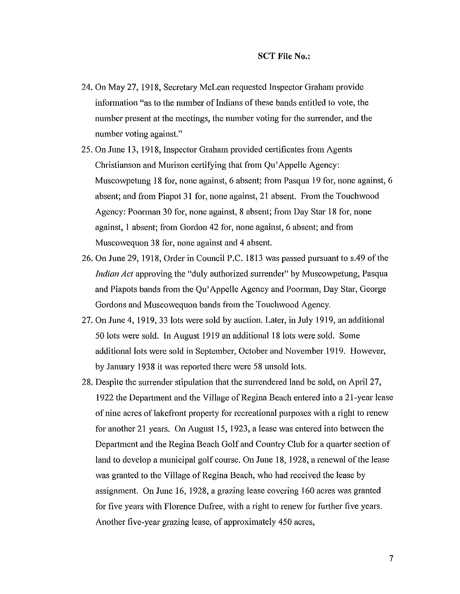- 24. On May 27, 1918, Secretary McLean requested Inspector Graham provide information "as to the number of Indians of these bands entitled to vote, the number present at the meetings, the number voting for the surrender, and the number voting against."
- 25. On June 13, 1918, Inspector Graham provided certificates from Agents Christianson and Murison certifying that from Qu'Appelle Agency: Muscowpetung 18 for, none against, 6 absent; from Pasqua 19 for, none against, 6 absent; and from Piapot 31 for, none against, 21 absent. From the Touchwood Agency: Poorman 30 for, none against, 8 absent; from Day Star 18 for, none against, 1 absent; from Gordon 42 for, none against, 6 absent; and from Muscowequon 38 for, none against and 4 absent.
- 26. On June 29, 1918, Order in Council P.C. 1813 was passed pursuant to s.49 of the *Indian Act* approving the "duly authorized surrender" by Muscowpetung, Pasqua and Piapots bands from the Qu'Appelle Agency and Poorman, Day Star, George Gordons and Muscowequon bands from the Touchwood Agency.
- 27. On June 4, 1919, 33 lots were sold by auction. Later, in July 1919, an additional 50 lots were sold. In August 1919 an additional 18 lots were sold. Some additional lots were sold in September, October and November 1919. However, by January 1938 it was reported there were 58 unsold lots.
- 28. Despite the surrender stipulation that the surrendered land be sold, on April 27, 1922 the Department and the Village of Regina Beach entered into a 21-year lease of nine acres of lakefront property for recreational purposes with a right to renew for another 21 years. On August 15, 1923, a lease was entered into between the Department and the Regina Beach Golf and Country Club for a quarter section of land to develop a municipal golf course. On June 18, 1928, a renewal of the lease was granted to the Village of Regina Beach, who had received the lease by assigmnent. On June 16, 1928, a grazing lease covering 160 acres was granted for five years with Florence Dufree, with a right to renew for further five years. Another five-year grazing lease, of approximately 450 acres,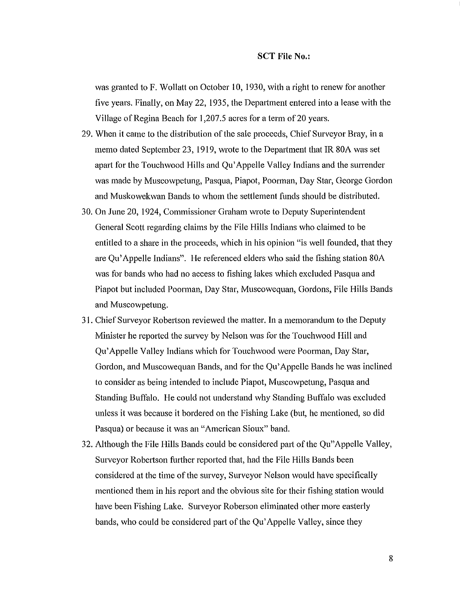was granted to F. Wollatt on October 10, 1930, with a right to renew for another five years. Finally, on May 22, 1935, the Depmiment entered into a lease with the Village of Regina Beach for 1,207.5 acres for a term of 20 years.

- 29. When it came to the distribution of the sale proceeds, Chief Surveyor Bray, in a memo dated September 23, 1919, wrote to the Department that IR 80A was set apart for the Touchwood Hills and Qu'Appelle Valley Indians and the surrender was made by Muscowpetung, Pasqua, Piapot, Poorman, Day Star, George Gordon and Muskowekwan Bands to whom the settlement funds should be distributed.
- 30. On June 20, 1924, Commissioner Graham wrote to Deputy Superintendent General Scott regarding claims by the File Hills Indians who claimed to be entitled to a share in the proceeds, which in his opinion "is well founded, that they are Qu'Appelle Indians". He referenced elders who said the fishing station 80A was for bands who had no access to fishing lakes which excluded Pasqua and Piapot but included Poorman, Day Star, Muscowequan, Gordons, File Hills Bands and Muscowpetung.
- 31. Chief Surveyor Robertson reviewed the matter. In a memorandum to the Deputy Minister he reported the survey by Nelson was for the Touchwood Hill and Qu'Appelle Valley Indians which for Touchwood were Poorman, Day Star, Gordon, and Muscowequan Bands, and for the Qu'Appelle Bands he was inclined to consider as being intended to include Piapot, Muscowpetung, Pasqua and Standing Buffalo. He could not understand why Standing Buffalo was excluded unless it was because it bordered on the Fishing Lake (but, he mentioned, so did Pasqua) or because it was an "American Sioux" band.
- 32. Although the File Hills Bands could be considered part of the Qu"Appelle Valley, Surveyor Robertson further reported that, had the File Hills Bands been considered at the time of the survey, Surveyor Nelson would have specifically mentioned them in his report and the obvious site for their fishing station would have been Fishing Lake. Surveyor Roberson eliminated other more easterly bands, who could be considered part of the Qu'Appelle Valley, since they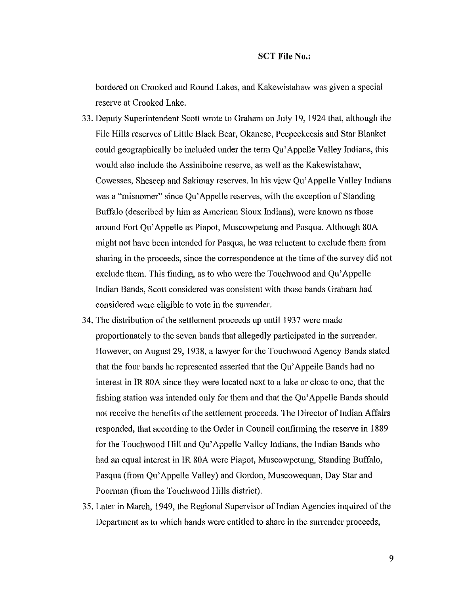bordered on Crooked and Round Lakes, and Kakewistahaw was given a special reserve at Crooked Lake.

- 33. Deputy Superintendent Scott wrote to Graham on July 19, 1924 that, although the File Hills reserves of Little Black Bear, Okanese, Peepeekeesis and Star Blanket could geographically be included under the term Qu'Appelle Valley Indians, this would also include the Assiniboine reserve, as well as the Kakewistahaw, Cowesses, Sheseep and Sakimay reserves. In his view Qu'Appelle Valley Indians was a "misnomer" since Qu'Appelle reserves, with the exception of Standing Buffalo (described by him as American Sioux Indians), were known as those around Fort Qu'Appelle as Piapot, Muscowpetung and Pasqua. Although 80A might not have been intended for Pasqua, he was reluctant to exclude them from sharing in the proceeds, since the correspondence at the time of the survey did not exclude them. This finding, as to who were the Touchwood and Qu'Appelle Indian Bands, Scott considered was consistent with those bands Graham had considered were eligible to vote in the surrender.
- 34. The distribution of the settlement proceeds up until 1937 were made proportionately to the seven bands that allegedly participated in the surrender. However, on August 29, 1938, a lawyer for the Touchwood Agency Bands stated that the four bands he represented asserted that the Qu'Appelle Bands had no interest in IR 80A since they were located next to a lake or close to one, that the fishing station was intended only for them and that the Qu'Appelle Bands should not receive the benefits of the settlement proceeds. The Director of Indian Affairs responded, that according to the Order in Council confirming the reserve in 1889 for the Touchwood Hill and Qu'Appelle Valley Indians, the Indian Bands who had an equal interest in IR 80A were Piapot, Muscowpetung, Standing Buffalo, Pasqua (from Qu'Appelle Valley) and Gordon, Muscowequan, Day Star and Poorman (from the Touchwood Hills district).
- 35. Later in March, 1949, the Regional Supervisor of Indian Agencies inquired of the Department as to which bands were entitled to share in the surrender proceeds,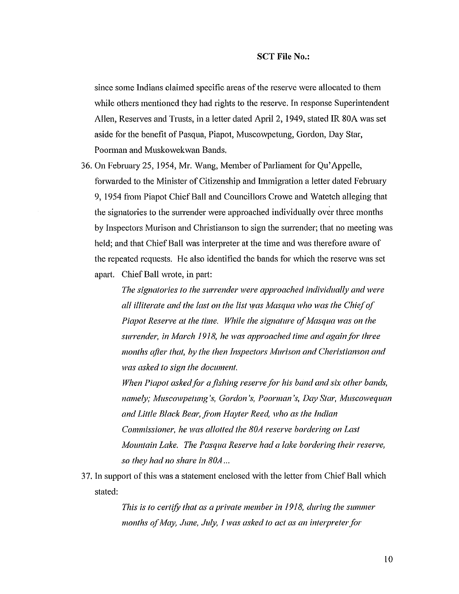since some Indians claimed specific areas ofthe reserve were allocated to them while others mentioned they had rights to the reserve. In response Superintendent Allen, Reserves and Trusts, in a letter dated April 2, 1949, stated IR 80A was set aside for the benefit of Pasqua, Piapot, Muscowpetung, Gordon, Day Star, Poorman and Muskowekwan Bands.

36. On February 25, 1954, Mr. Wang, Member of Parliament for Qu'Appelle, forwarded to the Minister of Citizenship and Immigration a letter dated February 9,1954 from Piapot Chief Ball and Councillors Crowe and Watetch alleging that the signatories to the surrender were approached individually over three months by Inspectors Murison and Christianson to sign the surrender; that no meeting was held; and that Chief Ball was interpreter at the time and was therefore aware of the repeated requests. He also identified the bands for which the reserve was set apart. Chief Ball wrote, in part:

> *The signatories to the surrender were approached individually and were all illiterate and the last on the list was Masqua who was the Chiefof Piapot Reserve at the time. While the signature ofMasqua was on the surrender, in March 1918, he was approached time and again for three months ajier that, by the then Inspectors lv/urison and Cheristianson and was asked to sign the document.*

*When Piclpot askedfor a fishing reserve for his band and six other bands, namely; Muscowpetung's, Gordon's, Poorman's, Day Star, Muscowequan and Little Black Bear, fi'om Hayter Reed, who as the Indian Commissioner, he was allotted the 80A reserve bordering on Last lVJountain Lake. The Pasqua Reserve had a lake bordering their reserve, so they had no share in 80A ...*

37. In support of this was a statement enclosed with the letter from Chief Ball which stated:

> *This is to certifY that as a private member in* 1918, *during the summer months* of *May, June, July, I was asked to act as an interpreter for*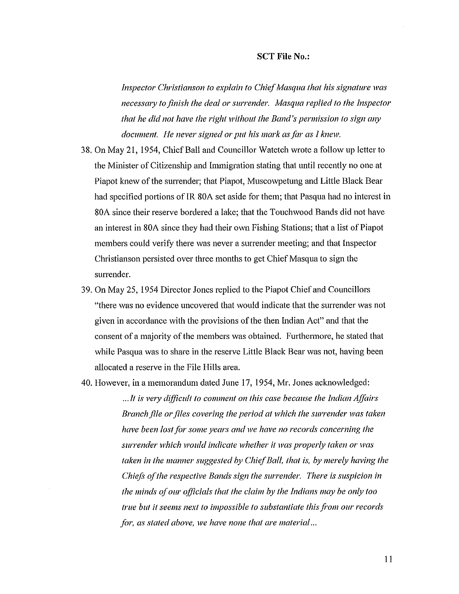*Inspector Christianson to explain to Chief Masqua that his signature was necesswy to finish the deal or surrender. Masqua replied to the Inspector that he did not have the right without the Band's permission to sign any document. He never signed or put his mark asfor as I knell'.*

- 38. On May 21, 1954, Chief Ball and Councillor Watetch wrote a follow up letter to the Minister of Citizenship and Immigration stating that until recently no one at Piapot knew of the surrender; that Piapot, Muscowpetung and Little Black Bear had specified portions of IR 80A set aside for them; that Pasqua had no interest in 80A since their reserve bordered a lake; that the Touchwood Bands did not have an interest in 80A since they had their own Fishing Stations; that a list of Piapot members could verify there was never a surrender meeting; and that Inspector Christianson persisted over three months to get Chief Masqua to sign the surrender.
- 39. On May 25, 1954 Director Jones replied to the Piapot Chief and Councillors "there was no evidence uncovered that would indicate that the surrender was not given in accordance with the provisions ofthe then Indian Act" and that the consent of a majority of the members was obtained. Furthermore, he stated that while Pasqua was to share in the reserve Little Black Bear was not, having been allocated a reserve in the File Hills area.
- 40. However, in a memorandum dated June 17, 1954, Mr. Jones acknowledged:

*.. .It* is *velY difficult to comment on this case because the Indian Affairs Branchfile* 01' *files covering the period at which the surrender was taken have been lost for some years and we have no records concerning the surrender which would indicate whether it was properly taken* 01' *was taken in the manner suggested by ChiefBall, that is, by merely having the Chiefs ofthe respective Bands sign the surrender. There* is *suspicion in the minds ofour officials that the claim by the Indians may be only too true but* it *seems next to impossible to substantiate thisji'om our records for, as stated above, we have none that are material...*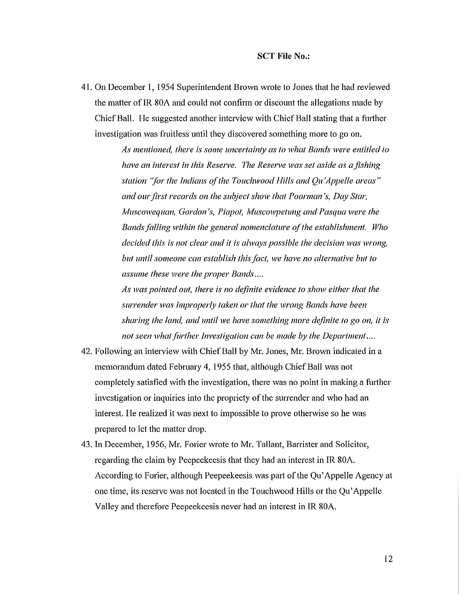41. On December I, 1954 Superintendent Brown wrote to Jones that he had reviewed the matter of IR 80A and could not confirm or discount the allegations made by Chief Ball. He suggested another interview with Chief Ball stating that a further investigation was fruitless until they discovered something more to go on.

> *As mentioned, there* is *some uncertainty as to what Bands were entitled to have an interest in this Reserve. The Reserve was set aside as afishing station 'for the Indians ofthe Touchwood Hills and Qu 'Appelle areas" and ourfirst records on the subject sholl' that Poorman's, Day Star, 1\1uscowequan, Gordon's, Piapot, A1uscowpetung and Pasqua were the Bandsfalling within the general nomenclature ofthe establishment. Who decided this* is *not clear and it* is *always possible the decision was wrong, but until someone can establish thisfact, we have no alternative but to assume these were the proper Bands*....

> *As was pointed out, there* is *no definite evidence to sholl' either that the surrender was improperly taken or that the wrong Bands have been sharing the lanc!, and until we have something more definite to go on, it* is *not* seen what further Investigation can be made by the Department....

- 42. Following an interview with Chief Ball by Mr. Jones, Mr. Brown indicated in a memorandum dated February 4, 1955 that, although Chief Ball was not completely satisfied with the investigation, there was no point in making a further investigation or inquiries into the propriety of the surrender and who had an interest. He realized it was next to impossible to prove otherwise so he was prepared to let the matter drop.
- 43. In December, 1956, Mr. Forier wrote to Mr. Tallant, Barrister and Solicitor, regarding the claim by Peepeekeesis that they had an interest in IR 80A. According to Forier, although Peepeekeesis was part of the Qu'Appelle Agency at one time, its reserve was not located in the Touchwood Hills or the Qu'Appelle Valley and therefore Peepeekeesis never had an interest in IR 80A.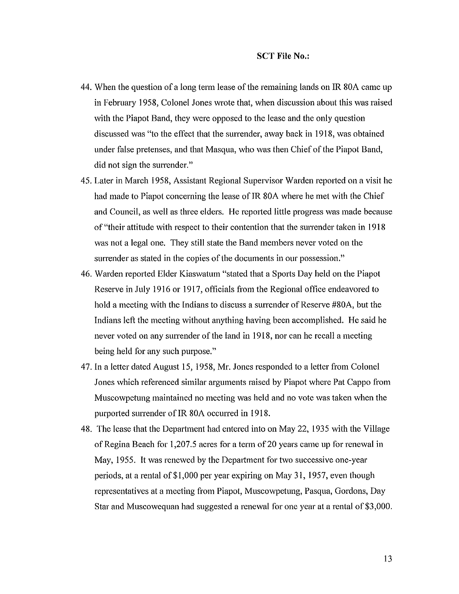- 44. When the question of a long term lease of the remaining lands on IR 80A came up in February 1958, Colonel Jones wrote that, when discussion about this was raised with the Piapot Band, they were opposed to the lease and the only question discussed was "to the effect that the surrender, away back in 1918, was obtained under false pretenses, and that Masqua, who was then Chief of the Piapot Band, did not sign the surrender."
- 45. Later in March 1958, Assistant Regional Supervisor Warden reported on a visit he had made to Piapot concerning the lease of IR 80A where he met with the Chief and Council, as well as three elders. He reported little progress was made because of "their attitude with respect to their contention that the surrender taken in 1918 was not a legal one. They still state the Band members never voted on the surrender as stated in the copies of the documents in our possession."
- 46. Warden reported Elder Kiaswatum "stated that a Sports Day held on the Piapot Reserve in July 1916 or 1917, officials from the Regional office endeavored to hold a meeting with the Indians to discuss a surrender of Reserve #80A, but the Indians left the meeting without anything having been accomplished. He said he never voted on any surrender of the land in 1918, nor can he recall a meeting being held for any such purpose."
- 47. In a letter dated August 15, 1958, Mr. Jones responded to a letter from Colonel Jones which referenced similar arguments raised by Piapot where Pat Cappo from Muscowpetung maintained no meeting was held and no vote was taken when the purported surrender of IR 80A occurred in 1918.
- 48. The lease that the Department had entered into on May 22, 1935 with the Village ofRegina Beach for 1,207.5 acres for a term of20 years came up for renewal in May, 1955. It was renewed by the Department for two successive one-year periods, at a rental of\$I,OOO per year expiring on May 31, 1957, even though representatives at a meeting from Piapot, Muscowpetung, Pasqua, Gordons, Day Star and Muscowequan had suggested a renewal for one year at a rental of \$3,000.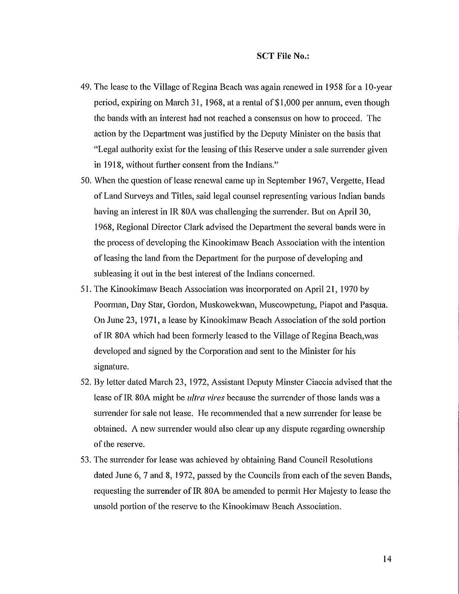- 49. The lease to the Village of Regina Beach was again renewed in 1958 for a 10-year period, expiring on March 31, 1968, at a rental of \$1 ,000 per annum, even though the bands with an interest had not reached a consensus on how to proceed. The action by the Department was justified by the Deputy Minister on the basis that "Legal authority exist for the leasing of this Reserve under a sale surrender given in 1918, without further consent from the Indians."
- 50. When the question of lease renewal came up in September 1967, Vergette, Head of Land Surveys and Titles, said legal counsel representing various Indian bands having an interest in IR 80A was challenging the surrender. But on April 30, 1968, Regional Director Clark advised the Department the several bands were in the process of developing the Kinookimaw Beach Association with the intention of leasing the land from the Department for the purpose of developing and subleasing it out in the best interest of the Indians concerned.
- 51. The Kinookimaw Beach Association was incorporated on April 21, 1970 by Poorman, Day Star, Gordon, Muskowekwan, Muscowpetung, Piapot and Pasqua. On June 23, 1971, a lease by Kinookimaw Beach Association of the sold portion of IR 80A which had been formerly leased to the Village of Regina Beach, was developed and signed by the Corporation and sent to the Minister for his signature.
- 52. By letter dated March 23, 1972, Assistant Deputy Minster Ciaccia advised that the lease of IR 80A might be *ultra vires* because the surrender of those lands was a surrender for sale not lease. He recommended that a new surrender for lease be obtained. A new surrender would also clear up any dispute regarding ownership of the reserve.
- 53. The surrender for lease was achieved by obtaining Band Council Resolutions dated June 6, 7 and 8, 1972, passed by the Councils from each of the seven Bands, requesting the surrender of IR 80A be amended to permit Her Majesty to lease the unsold portion of the reserve to the Kinookimaw Beach Association.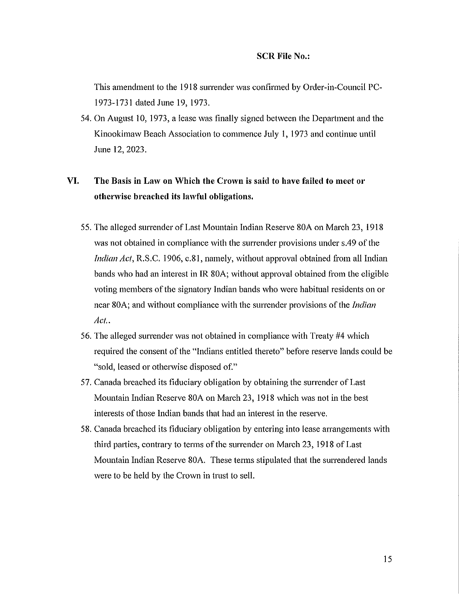This amendment to the 1918 surrender was confirmed by Order-in-Council PC-1973-1731 dated June 19, 1973.

54. On August 10, 1973, a lease was finally signed between the Department and the Kinookimaw Beach Association to commence July I, 1973 and continue until June 12,2023.

# **VI.** The Basis in Law on Which the Crown is said to have failed to meet or othenvise breached its lawful obligations.

- 55. The alleged surrender of Last Mountain Indian Reserve 80A on March 23,1918 was not obtained in compliance with the surrender provisions under s.49 of the *Indian Act*, R.S.C. 1906, c.81, namely, without approval obtained from all Indian bands who had an interest in IR 80A; without approval obtained from the eligible voting members of the signatory Indian bands who were habitual residents on or near 80A; and without compliance with the surrender provisions ofthe *Indian Act..*
- 56. The alleged surrender was not obtained in compliance with Treaty #4 which required the consent of the "Indians entitled thereto" before reserve lands could be "sold, leased or otherwise disposed of."
- 57. Canada breached its fiduciary obligation by obtaining the surrender of Last Mountain Indian Reserve 80A on March 23, 1918 which was not in the best interests of those Indian bands that had an interest in the reserve.
- 58. Canada breached its fiduciary obligation by entering into lease arrangements with third parties, contrary to terms of the surrender on March 23, 1918 of Last Mountain Indian Reserve 80A. These terms stipulated that the surrendered lands were to be held by the Crown in trust to sell.